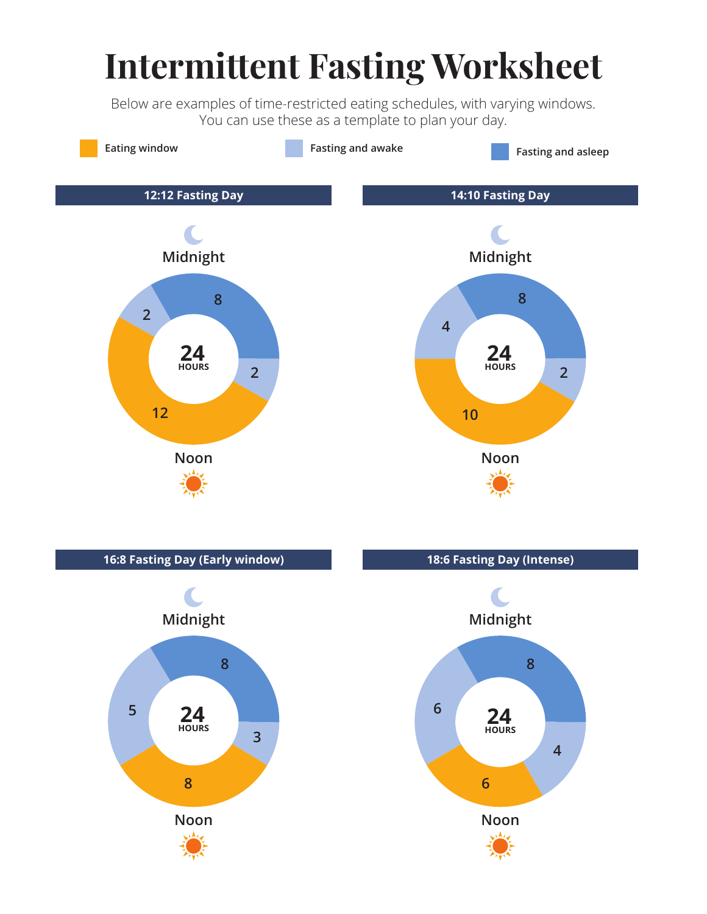# **Intermittent Fasting Worksheet**

Below are examples of time-restricted eating schedules, with varying windows. You can use these as a template to plan your day.

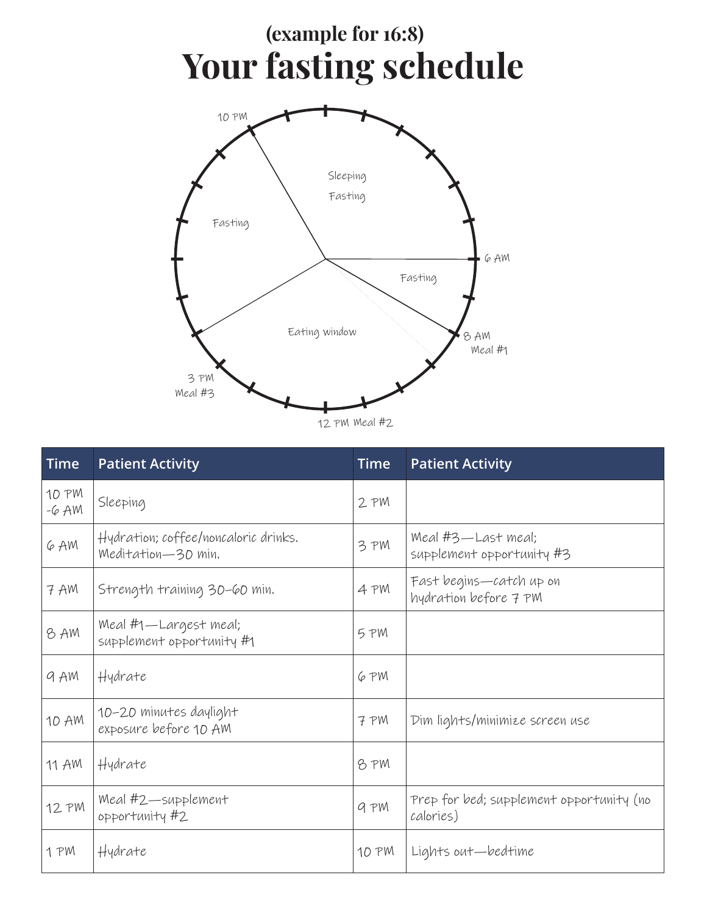### **Your fasting schedule (example for 16:8)**



| Time            | <b>Patient Activity</b>                                    | <b>Time</b> | <b>Patient Activity</b>                               |
|-----------------|------------------------------------------------------------|-------------|-------------------------------------------------------|
| 10 PM<br>$-6AM$ | Sleeping                                                   | 2 PM        |                                                       |
| 6 AM            | Hydration; coffee/noncaloric drinks.<br>Meditation-30 min. | 3 PM        | Meal #3—Last meal;<br>supplement opportunity #3       |
| 7 AM            | Strength training 30-60 min.                               | 4 PM        | Fast begins—catch up on<br>hydration before 7 PM      |
| 8 AM            | Meal #1—Largest meal;<br>supplement opportunity #1         | 5 PM        |                                                       |
| 9 AM            | Hydrate                                                    | 6 PM        |                                                       |
| 10 AM           | 10-20 minutes daylight<br>exposure before 10 AM            | 7 PM        | Dim lights/minimize screen use                        |
| 11 AM           | Hydrate                                                    | 8 PM        |                                                       |
| 12 PM           | Meal #2-supplement<br>opportunity#2                        | 9 PM        | Prep for bed; supplement opportunity (no<br>calories) |
| 1 PM            | Hydrate                                                    | 10 PM       | Lights out—bedtime                                    |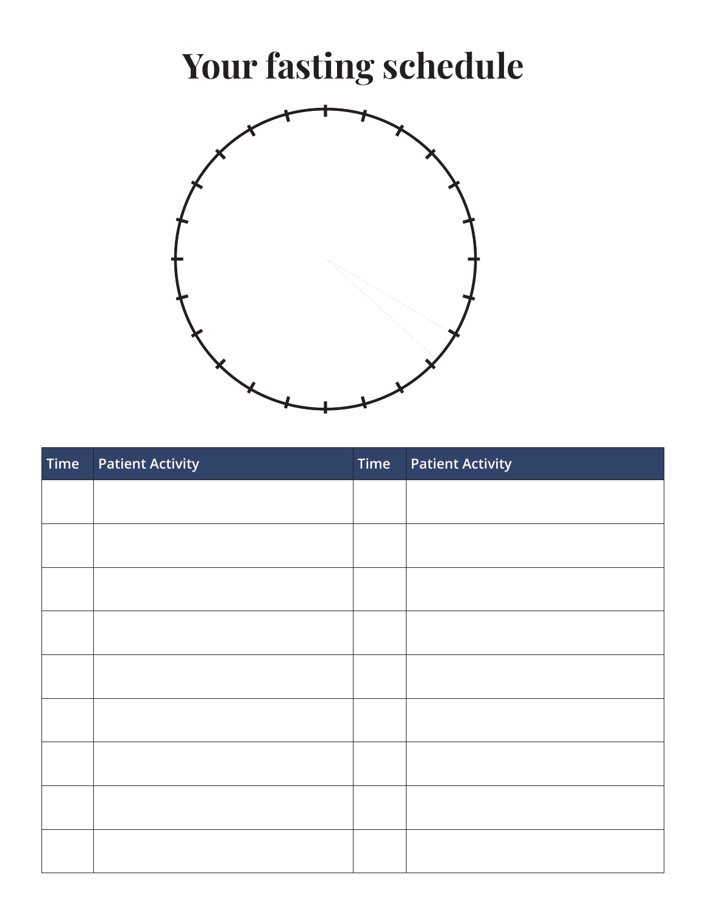# **Your fasting schedule**



| Time | <b>Patient Activity</b> | Time | <b>Patient Activity</b> |
|------|-------------------------|------|-------------------------|
|      |                         |      |                         |
|      |                         |      |                         |
|      |                         |      |                         |
|      |                         |      |                         |
|      |                         |      |                         |
|      |                         |      |                         |
|      |                         |      |                         |
|      |                         |      |                         |
|      |                         |      |                         |
|      |                         |      |                         |
|      |                         |      |                         |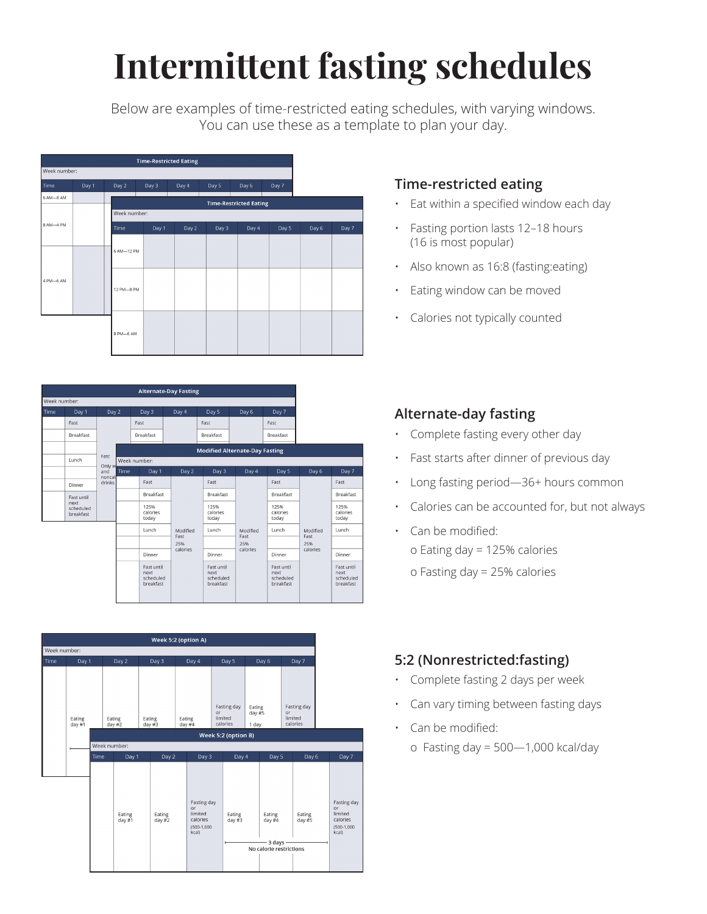# **Intermittent fasting schedules**

Below are examples of time-restricted eating schedules, with varying windows. You can use these as a template to plan your day.

|              |       |              | <b>Time-Restricted Eating</b> |       |       |                               |       |       |       |
|--------------|-------|--------------|-------------------------------|-------|-------|-------------------------------|-------|-------|-------|
| Week number: |       |              |                               |       |       |                               |       |       |       |
| Time         | Day 1 | Day 2        | Day 3                         | Day 4 | Day 5 | Day 6                         | Day 7 |       |       |
| 6 AM-8 AM    |       |              |                               |       |       | <b>Time-Restricted Eating</b> |       |       |       |
|              |       | Week number: |                               |       |       |                               |       |       |       |
| 8 AM-4 PM    |       | Time         | Day 1                         | Day 2 | Day 3 | Day 4                         | Day 5 | Day 6 | Day 7 |
|              |       |              |                               |       |       |                               |       |       |       |
|              |       | 6 AM-12 PM   |                               |       |       |                               |       |       |       |
|              |       |              |                               |       |       |                               |       |       |       |
| 4 PM-6 AM    |       |              |                               |       |       |                               |       |       |       |
|              |       | 12 PM-8 PM   |                               |       |       |                               |       |       |       |
|              |       |              |                               |       |       |                               |       |       |       |
|              |       |              |                               |       |       |                               |       |       |       |
|              |       | 8 PM-6 AM    |                               |       |       |                               |       |       |       |
|              |       |              |                               |       |       |                               |       |       |       |

|              |                                |                         |      |                                              | <b>Alternate-Day Fasting</b> |                                              |             |                                              |             |                                              |  |
|--------------|--------------------------------|-------------------------|------|----------------------------------------------|------------------------------|----------------------------------------------|-------------|----------------------------------------------|-------------|----------------------------------------------|--|
| Week number: |                                |                         |      |                                              |                              |                                              |             |                                              |             |                                              |  |
| Time         | Day 1                          | Day 2                   |      | Day 3                                        | Day 4                        | Day 5                                        | Day 6       | Day 7                                        |             |                                              |  |
|              | Fast                           |                         |      | Fast                                         |                              | Fast                                         |             | Fast                                         |             |                                              |  |
|              | <b>Breakfast</b>               |                         |      | Breakfast                                    |                              | <b>Breakfast</b>                             |             | Breakfast                                    |             |                                              |  |
|              |                                | Fast                    |      |                                              |                              | <b>Modified Alternate-Day Fasting</b>        |             |                                              |             |                                              |  |
|              | Lunch                          | Only w                  |      | Week number:                                 |                              |                                              |             |                                              |             |                                              |  |
|              |                                | and<br>noncal<br>drinks | Time | Day 1                                        | Day 2                        | Day 3                                        | Day 4       | Day 5                                        | Day 6       | Day 7                                        |  |
|              | Dinner                         |                         |      |                                              |                              | Fast                                         |             | Fast                                         |             | Fast                                         |  |
|              | Fast until                     |                         |      | Breakfast                                    |                              | Breakfast                                    |             | Breakfast                                    |             | Breakfast                                    |  |
|              | next<br>scheduled<br>breakfast |                         |      | 125%<br>calories<br>today                    |                              | 125%<br>calories<br>today                    |             | 125%<br>calories<br>today                    |             | 125%<br>calories<br>today                    |  |
|              |                                |                         |      | Lunch                                        | Modified                     | Lunch                                        | Modified    | Lunch                                        | Modified    | Lunch                                        |  |
|              |                                |                         |      |                                              | Fast<br>25%                  |                                              | Fast<br>25% |                                              | Fast<br>25% |                                              |  |
|              |                                |                         |      | Dinner                                       | calories                     | Dinner                                       | calories    | Dinner                                       | calories    | Dinner                                       |  |
|              |                                |                         |      | Fast until<br>next<br>scheduled<br>breakfast |                              | Fast until<br>next<br>scheduled<br>breakfast |             | Fast until<br>next<br>scheduled<br>breakfast |             | Fast until<br>next<br>scheduled<br>breakfast |  |



#### **Time-restricted eating**

- Eat within a specified window each day
- Fasting portion lasts 12–18 hours (16 is most popular)
- Also known as 16:8 (fasting:eating)
- Eating window can be moved
- Calories not typically counted

### **Alternate-day fasting**

- Complete fasting every other day
- Fast starts after dinner of previous day
- Long fasting period—36+ hours common
- Calories can be accounted for, but not always
- Can be modified: o Eating day = 125% calories o Fasting day = 25% calories

### **5:2 (Nonrestricted:fasting)**

- Complete fasting 2 days per week
- Can vary timing between fasting days
- Can be modified: o Fasting day =  $500-1,000$  kcal/day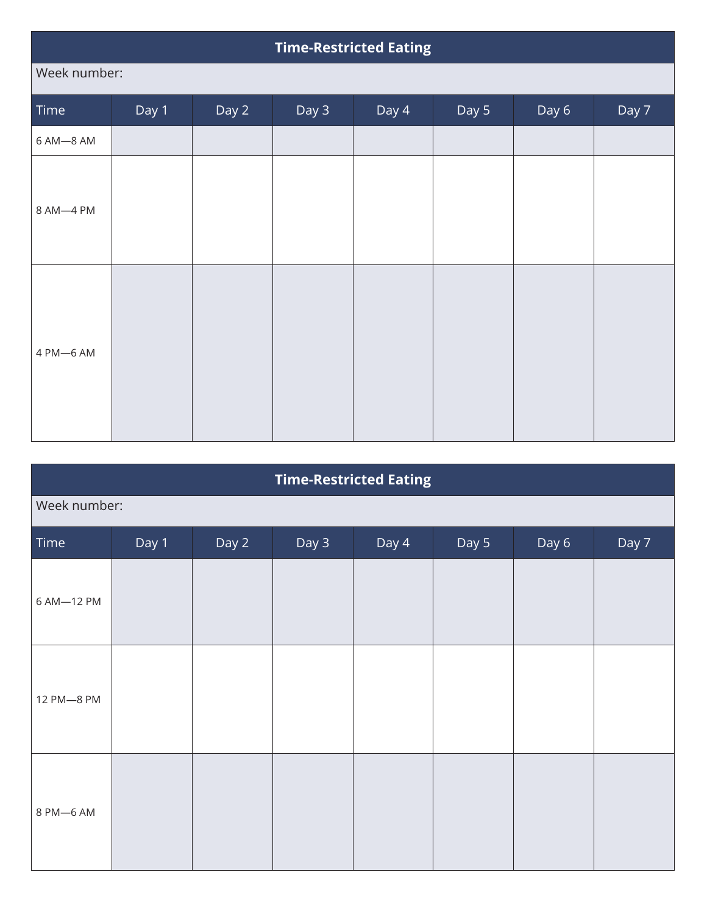|              | <b>Time-Restricted Eating</b> |       |       |       |       |       |       |  |  |
|--------------|-------------------------------|-------|-------|-------|-------|-------|-------|--|--|
| Week number: |                               |       |       |       |       |       |       |  |  |
| Time         | Day 1                         | Day 2 | Day 3 | Day 4 | Day 5 | Day 6 | Day 7 |  |  |
| 6 AM-8 AM    |                               |       |       |       |       |       |       |  |  |
| 8 AM-4 PM    |                               |       |       |       |       |       |       |  |  |
| 4 PM-6 AM    |                               |       |       |       |       |       |       |  |  |

| <b>Time-Restricted Eating</b> |              |       |       |       |       |       |       |  |  |  |
|-------------------------------|--------------|-------|-------|-------|-------|-------|-------|--|--|--|
|                               | Week number: |       |       |       |       |       |       |  |  |  |
| Time                          | Day 1        | Day 2 | Day 3 | Day 4 | Day 5 | Day 6 | Day 7 |  |  |  |
| 6 AM-12 PM                    |              |       |       |       |       |       |       |  |  |  |
| 12 PM-8 PM                    |              |       |       |       |       |       |       |  |  |  |
| 8 PM-6 AM                     |              |       |       |       |       |       |       |  |  |  |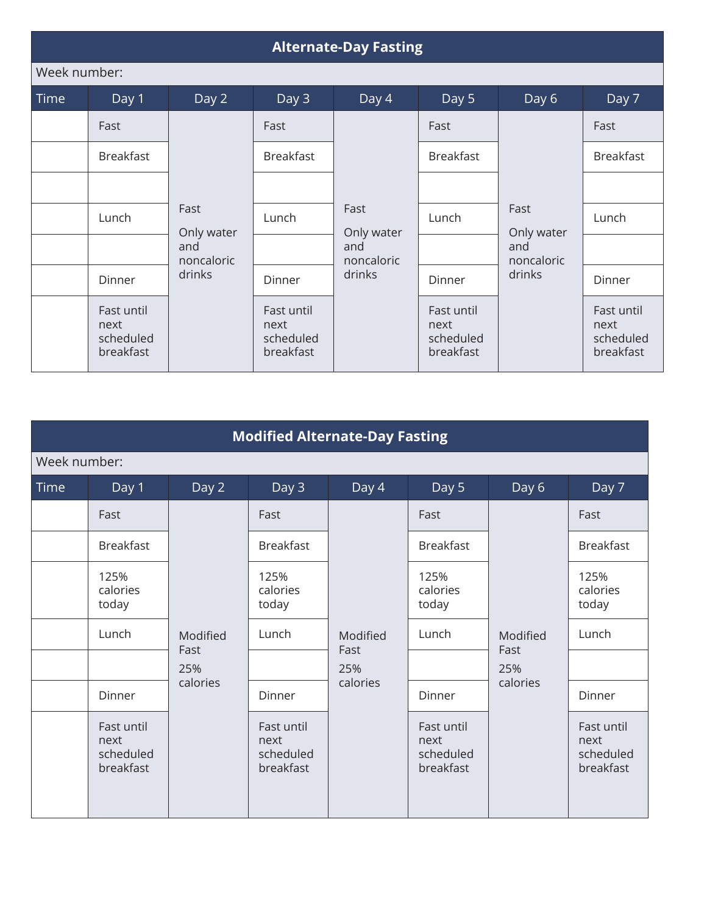|              | <b>Alternate-Day Fasting</b>                 |                    |                                              |                    |                                              |                                                   |                                              |  |  |  |  |
|--------------|----------------------------------------------|--------------------|----------------------------------------------|--------------------|----------------------------------------------|---------------------------------------------------|----------------------------------------------|--|--|--|--|
| Week number: |                                              |                    |                                              |                    |                                              |                                                   |                                              |  |  |  |  |
| <b>Time</b>  | Day 1                                        | Day 2              | Day 3                                        | Day 4              | Day 5                                        | Day 6                                             | Day 7                                        |  |  |  |  |
|              | Fast                                         |                    | Fast                                         |                    | Fast                                         |                                                   | Fast                                         |  |  |  |  |
|              | <b>Breakfast</b>                             |                    | <b>Breakfast</b>                             |                    | <b>Breakfast</b>                             | Fast<br>Only water<br>and<br>noncaloric<br>drinks | <b>Breakfast</b>                             |  |  |  |  |
|              |                                              |                    |                                              | Fast<br>Only water |                                              |                                                   |                                              |  |  |  |  |
|              | Lunch                                        | Fast<br>Only water | Lunch                                        |                    | Lunch                                        |                                                   | Lunch                                        |  |  |  |  |
|              |                                              | and<br>noncaloric  |                                              | and<br>noncaloric  |                                              |                                                   |                                              |  |  |  |  |
|              | Dinner                                       | drinks             | Dinner                                       | drinks             | Dinner                                       |                                                   | Dinner                                       |  |  |  |  |
|              | Fast until<br>next<br>scheduled<br>breakfast |                    | Fast until<br>next<br>scheduled<br>breakfast |                    | Fast until<br>next<br>scheduled<br>breakfast |                                                   | Fast until<br>next<br>scheduled<br>breakfast |  |  |  |  |

|              | <b>Modified Alternate-Day Fasting</b>        |             |                                              |                         |                                              |                                     |                                              |  |  |  |  |
|--------------|----------------------------------------------|-------------|----------------------------------------------|-------------------------|----------------------------------------------|-------------------------------------|----------------------------------------------|--|--|--|--|
| Week number: |                                              |             |                                              |                         |                                              |                                     |                                              |  |  |  |  |
| <b>Time</b>  | Day 1                                        | Day 2       | Day 3                                        | Day 4                   | Day 5                                        | Day 6                               | Day 7                                        |  |  |  |  |
|              | Fast                                         |             | Fast                                         |                         | Fast                                         |                                     | Fast                                         |  |  |  |  |
|              | <b>Breakfast</b>                             |             | <b>Breakfast</b>                             |                         | <b>Breakfast</b>                             | Modified<br>Fast<br>25%<br>calories | <b>Breakfast</b>                             |  |  |  |  |
|              | 125%<br>calories<br>today                    |             | 125%<br>calories<br>today                    | Modified<br>Fast<br>25% | 125%<br>calories<br>today                    |                                     | 125%<br>calories<br>today                    |  |  |  |  |
|              | Lunch                                        | Modified    | Lunch                                        |                         | Lunch                                        |                                     | Lunch                                        |  |  |  |  |
|              |                                              | Fast<br>25% |                                              |                         |                                              |                                     |                                              |  |  |  |  |
|              | Dinner                                       | calories    | Dinner                                       | calories                | Dinner                                       |                                     | Dinner                                       |  |  |  |  |
|              | Fast until<br>next<br>scheduled<br>breakfast |             | Fast until<br>next<br>scheduled<br>breakfast |                         | Fast until<br>next<br>scheduled<br>breakfast |                                     | Fast until<br>next<br>scheduled<br>breakfast |  |  |  |  |